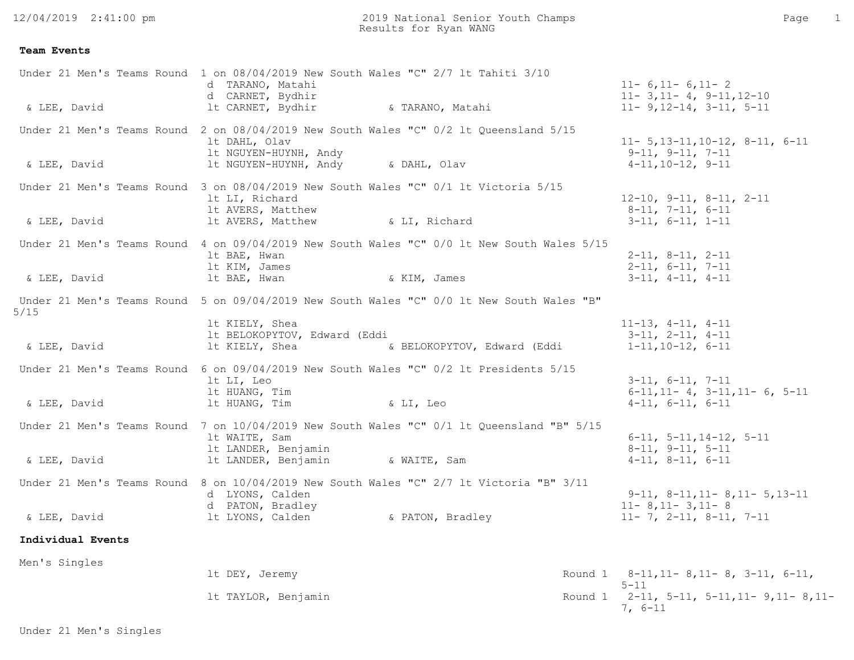## **Team Events**

| & LEE, David                               | Under 21 Men's Teams Round 1 on 08/04/2019 New South Wales "C" 2/7 lt Tahiti 3/10<br>d TARANO, Matahi<br>d CARNET, Bydhir<br>It CARNET, Bydhir<br>& TARANO, Matahi           | $11 - 6, 11 - 6, 11 - 2$<br>$11 - 3, 11 - 4, 9 - 11, 12 - 10$<br>$11 - 9, 12 - 14, 3 - 11, 5 - 11$             |
|--------------------------------------------|------------------------------------------------------------------------------------------------------------------------------------------------------------------------------|----------------------------------------------------------------------------------------------------------------|
| & LEE, David                               | Under 21 Men's Teams Round 2 on $08/04/2019$ New South Wales "C" $0/2$ 1t Queensland 5/15<br>lt DAHL, Olav<br>1t NGUYEN-HUYNH, Andy<br>1t NGUYEN-HUYNH, Andy<br>& DAHL, Olav | $11 - 5, 13 - 11, 10 - 12, 8 - 11, 6 - 11$<br>$9-11, 9-11, 7-11$<br>$4-11, 10-12, 9-11$                        |
| & LEE, David                               | Under 21 Men's Teams Round 3 on 08/04/2019 New South Wales "C" 0/1 lt Victoria 5/15<br>It LI, Richard<br>It AVERS, Matthew<br>lt AVERS, Matthew<br>& LI, Richard             | $12-10$ , $9-11$ , $8-11$ , $2-11$<br>$8-11, 7-11, 6-11$<br>$3-11, 6-11, 1-11$                                 |
| & LEE, David                               | Under 21 Men's Teams Round 4 on 09/04/2019 New South Wales "C" 0/0 lt New South Wales 5/15<br>1t BAE, Hwan<br>1t KIM, James<br>lt BAE, Hwan<br>& KIM, James                  | $2-11, 8-11, 2-11$<br>$2-11, 6-11, 7-11$<br>$3-11, 4-11, 4-11$                                                 |
| 5/15                                       | Under 21 Men's Teams Round 5 on 09/04/2019 New South Wales "C" 0/0 lt New South Wales "B"<br>It KIELY, Shea                                                                  | $11-13$ , $4-11$ , $4-11$                                                                                      |
| & LEE, David                               | lt BELOKOPYTOV, Edward (Eddi<br>lt KIELY, Shea<br>& BELOKOPYTOV, Edward (Eddi                                                                                                | $3-11$ , $2-11$ , $4-11$<br>$1-11, 10-12, 6-11$                                                                |
| Under 21 Men's Teams Round<br>& LEE, David | 6 on 09/04/2019 New South Wales "C" 0/2 lt Presidents 5/15<br>lt LI, Leo<br>lt HUANG, Tim<br>lt HUANG, Tim<br>a LI, Leo                                                      | $3-11, 6-11, 7-11$<br>$6-11, 11-4, 3-11, 11-6, 5-11$<br>$4-11, 6-11, 6-11$                                     |
| & LEE, David                               | Under 21 Men's Teams Round 7 on 10/04/2019 New South Wales "C" 0/1 lt Queensland "B" 5/15<br>lt WAITE, Sam<br>It LANDER, Benjamin<br>1t LANDER, Benjamin<br>& WAITE, Sam     | $6-11, 5-11, 14-12, 5-11$<br>$8-11$ , $9-11$ , $5-11$<br>$4-11, 8-11, 6-11$                                    |
| & LEE, David                               | Under 21 Men's Teams Round 8 on 10/04/2019 New South Wales "C" 2/7 lt Victoria "B" 3/11<br>d LYONS, Calden<br>d PATON, Bradley<br>& PATON, Bradley<br>lt LYONS, Calden       | $9-11, 8-11, 11-8, 11-5, 13-11$<br>$11 - 8$ , $11 - 3$ , $11 - 8$<br>$11 - 7$ , $2 - 11$ , $8 - 11$ , $7 - 11$ |
| Individual Events                          |                                                                                                                                                                              |                                                                                                                |
| Men's Singles                              | lt DEY, Jeremy                                                                                                                                                               | Round 1 8-11, 11-8, 11-8, 3-11, 6-11,<br>$5 - 11$                                                              |
|                                            | 1t TAYLOR, Benjamin                                                                                                                                                          | Round 1 $2-11$ , 5-11, 5-11, 11- 9, 11- 8, 11-<br>$7, 6-11$                                                    |